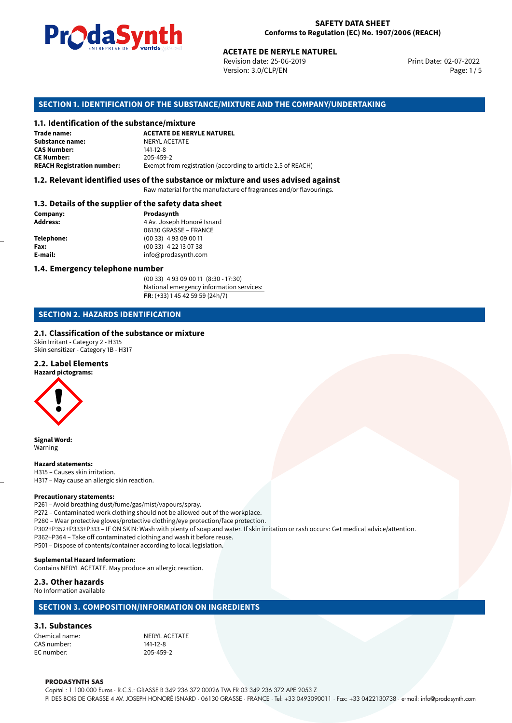

Revision date: 25-06-2019 Version: 3.0/CLP/EN Page: 1 / 5

Print Date: 02-07-2022

# **ACETATE DE NERYLE NATUREL<br>
Revision date: 25-06-2019<br>
Version: 3.0/CLP/EN<br>
<b>OF THE SUBSTANCE/MIXTURE AND THE COMPANY/U**<br> **ACETATE DE NERYLE NATUREL SECTION 1. IDENTIFICATION OF THE SUBSTANCE/MIXTURE AND THE COMPANY/UNDERTAKING**

#### **1.1. Identification of the substance/mixture**

| Trade name:                       | <b>ACETATE DE NERYLE NATUREL</b>                             |
|-----------------------------------|--------------------------------------------------------------|
| Substance name:                   | NERYL ACETATE                                                |
| <b>CAS Number:</b>                | 141-12-8                                                     |
| <b>CE Number:</b>                 | 205-459-2                                                    |
| <b>REACH Registration number:</b> | Exempt from registration (according to article 2.5 of REACH) |

#### **1.2. Relevant identified uses of the substance or mixture and uses advised against**

Raw material for the manufacture of fragrances and/or flavourings.

#### **1.3. Details of the supplier of the safety data sheet**

| Company:   | Prodasynth                 |  |
|------------|----------------------------|--|
| Address:   | 4 Av. Joseph Honoré Isnard |  |
|            | 06130 GRASSE - FRANCE      |  |
| Telephone: | $(0033)$ 4 93 09 00 11     |  |
| Fax:       | $(0033)$ 4 22 13 07 38     |  |
| E-mail:    | info@prodasynth.com        |  |
|            |                            |  |

#### **1.4. Emergency telephone number**

(00 33) 4 93 09 00 11 (8:30 - 17:30) National emergency information services: **FR**: (+33) 1 45 42 59 59 (24h/7)

#### **SECTION 2. HAZARDS IDENTIFICATION**

#### **2.1. Classification of the substance or mixture**

Skin Irritant - Category 2 - H315 Skin sensitizer - Category 1B - H317

#### **2.2. Label Elements**

**Hazard pictograms:**



**Signal Word:** Warning

**Hazard statements:** H315 – Causes skin irritation. H317 – May cause an allergic skin reaction.

#### **Precautionary statements:**

P261 – Avoid breathing dust/fume/gas/mist/vapours/spray. P272 – Contaminated work clothing should not be allowed out of the workplace. P280 – Wear protective gloves/protective clothing/eye protection/face protection. P302+P352+P333+P313 – IF ON SKIN: Wash with plenty of soap and water. If skin irritation or rash occurs: Get medical advice/attention. P362+P364 – Take off contaminated clothing and wash it before reuse. P501 – Dispose of contents/container according to local legislation.

#### **Suplemental Hazard Information:**

Contains NERYL ACETATE. May produce an allergic reaction.

#### **2.3. Other hazards**

No Information available

#### **SECTION 3. COMPOSITION/INFORMATION ON INGREDIENTS**

#### **3.1. Substances**

Chemical name:<br>
CAS number:<br>
CAS number: 
141-12-8 CAS number: EC number: 205-459-2

#### **PRODASYNTH SAS**

Capital : 1.100.000 Euros · R.C.S.: GRASSE B 349 236 372 00026 TVA FR 03 349 236 372 APE 2053 Z PI DES BOIS DE GRASSE 4 AV. JOSEPH HONORÉ ISNARD · 06130 GRASSE · FRANCE · Tel: +33 0493090011 · Fax: +33 0422130738 · e-mail: info@prodasynth.com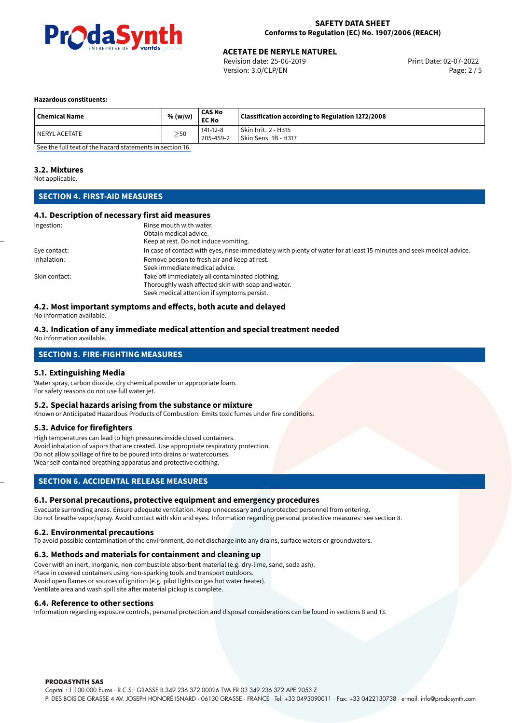

Revision date: 25-06-2019 Version: 3.0/CLP/EN Page: 2 / 5

#### **Hazardous constituents:**

| <b>Chemical Name</b> | % (w/w)   | CAS No<br><b>EC No</b> | Classification according to Regulation 1272/2008 |
|----------------------|-----------|------------------------|--------------------------------------------------|
| l NERYL ACETATE      | $\geq$ 50 | 141-12-8<br>205-459-2  | Skin Irrit. 2 - H315<br>Skin Sens. 1B - H317     |

[See the full text of the hazard statements in section 16.](#page-4-0)

#### **3.2. Mixtures**

Not applicable.

#### **SECTION 4. FIRST-AID MEASURES**

#### **4.1. Description of necessary first aid measures**

| Ingestion:    | Rinse mouth with water.                                                                                               |
|---------------|-----------------------------------------------------------------------------------------------------------------------|
|               | Obtain medical advice.                                                                                                |
|               | Keep at rest. Do not induce vomiting.                                                                                 |
| Eye contact:  | In case of contact with eyes, rinse immediately with plenty of water for at least 15 minutes and seek medical advice. |
| Inhalation:   | Remove person to fresh air and keep at rest.                                                                          |
|               | Seek immediate medical advice.                                                                                        |
| Skin contact: | Take off immediately all contaminated clothing.                                                                       |
|               | Thoroughly wash affected skin with soap and water.                                                                    |
|               | Seek medical attention if symptoms persist.                                                                           |

#### **4.2. Most important symptoms and effects, both acute and delayed**

No information available.

#### **4.3. Indication of any immediate medical attention and special treatment needed** No information available.

### **SECTION 5. FIRE-FIGHTING MEASURES**

#### **5.1. Extinguishing Media**

Water spray, carbon dioxide, dry chemical powder or appropriate foam. For safety reasons do not use full water jet.

#### **5.2. Special hazards arising from the substance or mixture**

Known or Anticipated Hazardous Products of Combustion: Emits toxic fumes under fire conditions.

#### **5.3. Advice for firefighters**

High temperatures can lead to high pressures inside closed containers. Avoid inhalation of vapors that are created. Use appropriate respiratory protection. Do not allow spillage of fire to be poured into drains or watercourses. Wear self-contained breathing apparatus and protective clothing.

#### **SECTION 6. ACCIDENTAL RELEASE MEASURES**

#### **6.1. Personal precautions, protective equipment and emergency procedures**

Evacuate surronding areas. Ensure adequate ventilation. Keep unnecessary and unprotected personnel from entering. Do not breathe vapor/spray. Avoid contact with skin and eyes. Information regarding personal protective measures: see section 8.

#### **6.2. Environmental precautions**

To avoid possible contamination of the environment, do not discharge into any drains, surface waters or groundwaters.

#### **6.3. Methods and materials for containment and cleaning up**

Cover with an inert, inorganic, non-combustible absorbent material (e.g. dry-lime, sand, soda ash). Place in covered containers using non-sparking tools and transport outdoors. Avoid open flames or sources of ignition (e.g. pilot lights on gas hot water heater). Ventilate area and wash spill site after material pickup is complete.

#### **6.4. Reference to other sections**

Information regarding exposure controls, personal protection and disposal considerations can be found in sections 8 and 13.

**PRODASYNTH SAS**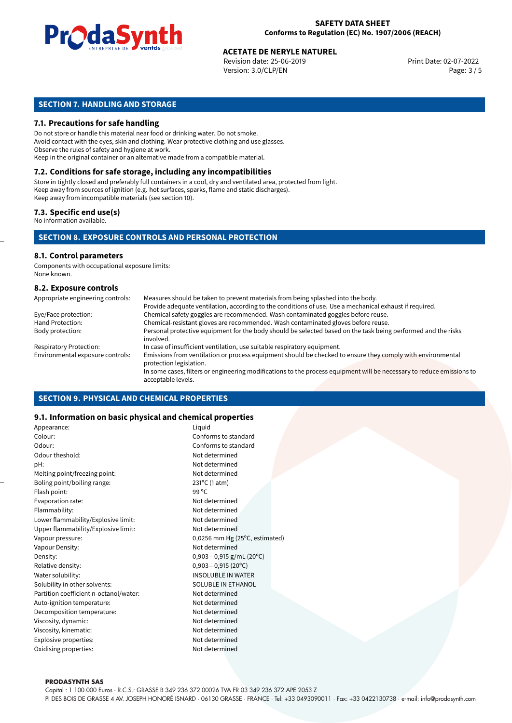

Revision date: 25-06-2019 Version: 3.0/CLP/EN Page: 3 / 5

#### **SECTION 7. HANDLING AND STORAGE**

#### **7.1. Precautions for safe handling**

Do not store or handle this material near food or drinking water. Do not smoke. Avoid contact with the eyes, skin and clothing. Wear protective clothing and use glasses. Observe the rules of safety and hygiene at work. Keep in the original container or an alternative made from a compatible material.

#### **7.2. Conditions for safe storage, including any incompatibilities**

Store in tightly closed and preferably full containers in a cool, dry and ventilated area, protected from light. Keep away from sources of ignition (e.g. hot surfaces, sparks, flame and static discharges). Keep away from incompatible materials (see section 10).

#### **7.3. Specific end use(s)**

No information available.

#### **SECTION 8. EXPOSURE CONTROLS AND PERSONAL PROTECTION**

#### **8.1. Control parameters**

Components with occupational exposure limits: None known.

#### **8.2. Exposure controls**

| Appropriate engineering controls: | Measures should be taken to prevent materials from being splashed into the body.                                                            |
|-----------------------------------|---------------------------------------------------------------------------------------------------------------------------------------------|
|                                   | Provide adequate ventilation, according to the conditions of use. Use a mechanical exhaust if required.                                     |
| Eye/Face protection:              | Chemical safety goggles are recommended. Wash contaminated goggles before reuse.                                                            |
| Hand Protection:                  | Chemical-resistant gloves are recommended. Wash contaminated gloves before reuse.                                                           |
| Body protection:                  | Personal protective equipment for the body should be selected based on the task being performed and the risks<br>involved.                  |
| <b>Respiratory Protection:</b>    | In case of insufficient ventilation, use suitable respiratory equipment.                                                                    |
| Environmental exposure controls:  | Emissions from ventilation or process equipment should be checked to ensure they comply with environmental<br>protection legislation.       |
|                                   | In some cases, filters or engineering modifications to the process equipment will be necessary to reduce emissions to<br>acceptable levels. |

#### **SECTION 9. PHYSICAL AND CHEMICAL PROPERTIES**

#### **9.1. Information on basic physical and chemical properties**

| Appearance:                            | Liquid                         |  |
|----------------------------------------|--------------------------------|--|
| Colour:                                | Conforms to standard           |  |
| Odour:                                 | Conforms to standard           |  |
| Odour theshold:                        | Not determined                 |  |
| pH:                                    | Not determined                 |  |
| Melting point/freezing point:          | Not determined                 |  |
| Boling point/boiling range:            | 231°C (1 atm)                  |  |
| Flash point:                           | 99 °C                          |  |
| Evaporation rate:                      | Not determined                 |  |
| Flammability:                          | Not determined                 |  |
| Lower flammability/Explosive limit:    | Not determined                 |  |
| Upper flammability/Explosive limit:    | Not determined                 |  |
| Vapour pressure:                       | 0,0256 mm Hg (25°C, estimated) |  |
| Vapour Density:                        | Not determined                 |  |
| Density:                               | $0,903 - 0,915$ g/mL (20°C)    |  |
| Relative density:                      | $0,903 - 0,915(20^{\circ}C)$   |  |
| Water solubility:                      | <b>INSOLUBLE IN WATER</b>      |  |
| Solubility in other solvents:          | <b>SOLUBLE IN ETHANOL</b>      |  |
| Partition coefficient n-octanol/water: | Not determined                 |  |
| Auto-ignition temperature:             | Not determined                 |  |
| Decomposition temperature:             | Not determined                 |  |
| Viscosity, dynamic:                    | Not determined                 |  |
| Viscosity, kinematic:                  | Not determined                 |  |
| Explosive properties:                  | Not determined                 |  |
| Oxidising properties:                  | Not determined                 |  |
|                                        |                                |  |

#### **PRODASYNTH SAS**

Capital : 1.100.000 Euros · R.C.S.: GRASSE B 349 236 372 00026 TVA FR 03 349 236 372 APE 2053 Z PI DES BOIS DE GRASSE 4 AV. JOSEPH HONORÉ ISNARD · 06130 GRASSE · FRANCE · Tel: +33 0493090011 · Fax: +33 0422130738 · e-mail: info@prodasynth.com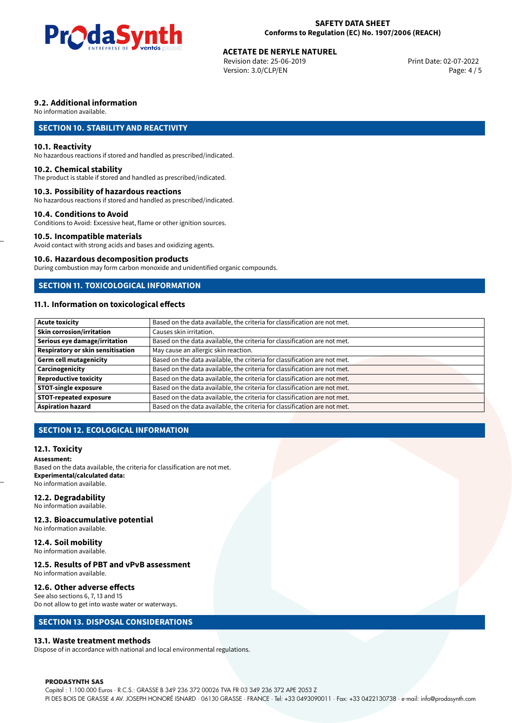

Revision date: 25-06-2019 Version: 3.0/CLP/EN Page: 4 / 5

#### **9.2. Additional information**

No information available.

#### **SECTION 10. STABILITY AND REACTIVITY**

#### **10.1. Reactivity**

No hazardous reactions if stored and handled as prescribed/indicated.

#### **10.2. Chemical stability**

The product is stable if stored and handled as prescribed/indicated.

#### **10.3. Possibility of hazardous reactions**

No hazardous reactions if stored and handled as prescribed/indicated.

#### **10.4. Conditions to Avoid**

Conditions to Avoid: Excessive heat, flame or other ignition sources.

#### **10.5. Incompatible materials**

Avoid contact with strong acids and bases and oxidizing agents.

#### **10.6. Hazardous decomposition products**

During combustion may form carbon monoxide and unidentified organic compounds.

#### **SECTION 11. TOXICOLOGICAL INFORMATION**

#### **11.1. Information on toxicological effects**

| <b>Acute toxicity</b>             | Based on the data available, the criteria for classification are not met. |
|-----------------------------------|---------------------------------------------------------------------------|
| <b>Skin corrosion/irritation</b>  | Causes skin irritation.                                                   |
|                                   |                                                                           |
| Serious eye damage/irritation     | Based on the data available, the criteria for classification are not met. |
| Respiratory or skin sensitisation | May cause an allergic skin reaction.                                      |
| Germ cell mutagenicity            | Based on the data available, the criteria for classification are not met. |
| <b>Carcinogenicity</b>            | Based on the data available, the criteria for classification are not met. |
| Reproductive toxicity             | Based on the data available, the criteria for classification are not met. |
| <b>STOT-single exposure</b>       | Based on the data available, the criteria for classification are not met. |
| <b>STOT-repeated exposure</b>     | Based on the data available, the criteria for classification are not met. |
| <b>Aspiration hazard</b>          | Based on the data available, the criteria for classification are not met. |

#### **SECTION 12. ECOLOGICAL INFORMATION**

#### **12.1. Toxicity**

#### **Assessment:**

Based on the data available, the criteria for classification are not met. **Experimental/calculated data:** No information available.

#### **12.2. Degradability**

No information available.

#### **12.3. Bioaccumulative potential**

No information available.

#### **12.4. Soil mobility**

No information available.

#### **12.5. Results of PBT and vPvB assessment**

No information available.

#### **12.6. Other adverse effects**

See also sections 6, 7, 13 and 15

#### Do not allow to get into waste water or waterways.

#### **SECTION 13. DISPOSAL CONSIDERATIONS**

#### **13.1. Waste treatment methods**

Dispose of in accordance with national and local environmental regulations.

#### **PRODASYNTH SAS**

Capital : 1.100.000 Euros · R.C.S.: GRASSE B 349 236 372 00026 TVA FR 03 349 236 372 APE 2053 Z PI DES BOIS DE GRASSE 4 AV. JOSEPH HONORÉ ISNARD · 06130 GRASSE · FRANCE · Tel: +33 0493090011 · Fax: +33 0422130738 · e-mail: info@prodasynth.com